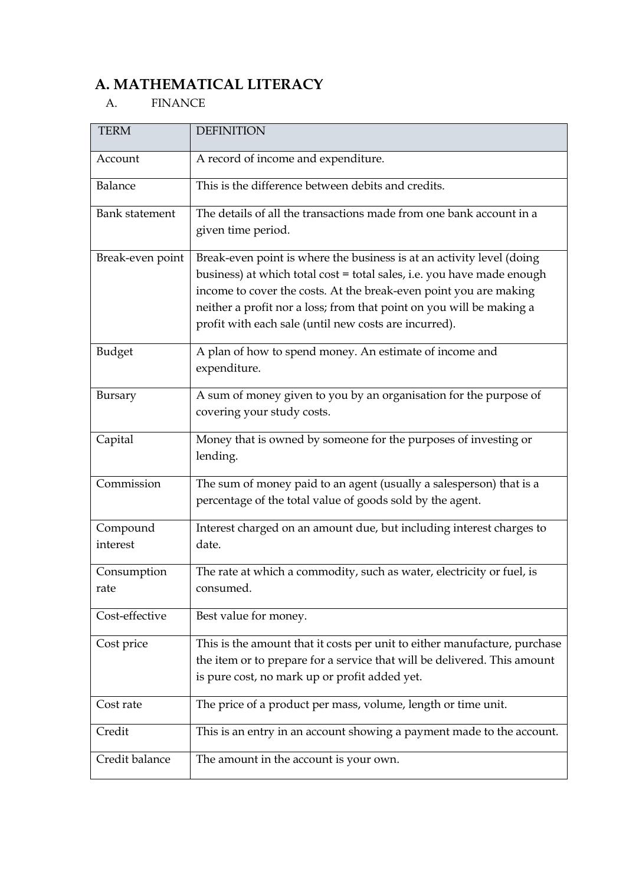# **A. MATHEMATICAL LITERACY**

#### A. FINANCE

| <b>TERM</b>           | <b>DEFINITION</b>                                                                                                                                                                                                                                                                                                                                     |
|-----------------------|-------------------------------------------------------------------------------------------------------------------------------------------------------------------------------------------------------------------------------------------------------------------------------------------------------------------------------------------------------|
| Account               | A record of income and expenditure.                                                                                                                                                                                                                                                                                                                   |
| Balance               | This is the difference between debits and credits.                                                                                                                                                                                                                                                                                                    |
| <b>Bank statement</b> | The details of all the transactions made from one bank account in a<br>given time period.                                                                                                                                                                                                                                                             |
| Break-even point      | Break-even point is where the business is at an activity level (doing<br>business) at which total cost = total sales, i.e. you have made enough<br>income to cover the costs. At the break-even point you are making<br>neither a profit nor a loss; from that point on you will be making a<br>profit with each sale (until new costs are incurred). |
| <b>Budget</b>         | A plan of how to spend money. An estimate of income and<br>expenditure.                                                                                                                                                                                                                                                                               |
| Bursary               | A sum of money given to you by an organisation for the purpose of<br>covering your study costs.                                                                                                                                                                                                                                                       |
| Capital               | Money that is owned by someone for the purposes of investing or<br>lending.                                                                                                                                                                                                                                                                           |
| Commission            | The sum of money paid to an agent (usually a salesperson) that is a<br>percentage of the total value of goods sold by the agent.                                                                                                                                                                                                                      |
| Compound<br>interest  | Interest charged on an amount due, but including interest charges to<br>date.                                                                                                                                                                                                                                                                         |
| Consumption<br>rate   | The rate at which a commodity, such as water, electricity or fuel, is<br>consumed.                                                                                                                                                                                                                                                                    |
| Cost-effective        | Best value for money.                                                                                                                                                                                                                                                                                                                                 |
| Cost price            | This is the amount that it costs per unit to either manufacture, purchase<br>the item or to prepare for a service that will be delivered. This amount<br>is pure cost, no mark up or profit added yet.                                                                                                                                                |
| Cost rate             | The price of a product per mass, volume, length or time unit.                                                                                                                                                                                                                                                                                         |
| Credit                | This is an entry in an account showing a payment made to the account.                                                                                                                                                                                                                                                                                 |
| Credit balance        | The amount in the account is your own.                                                                                                                                                                                                                                                                                                                |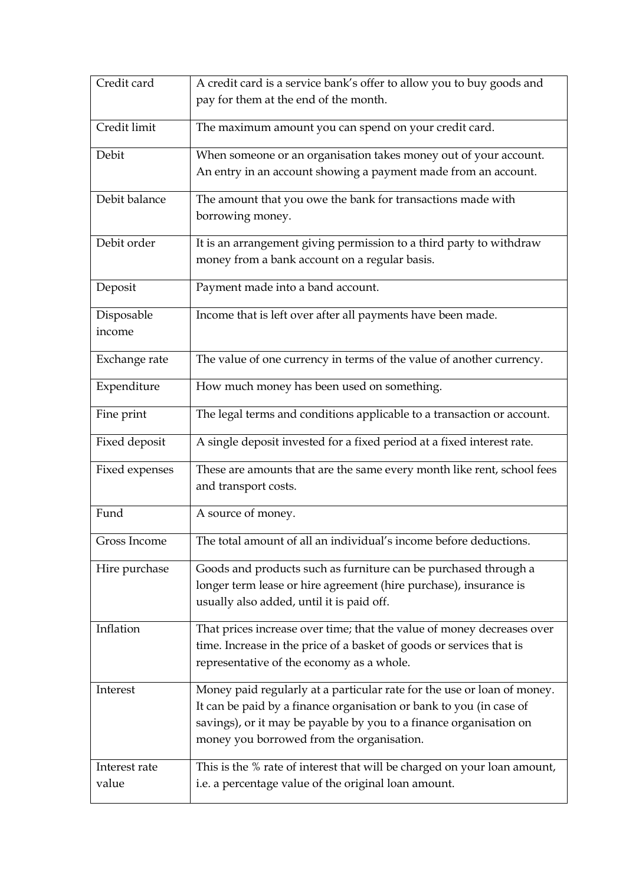| Credit card    | A credit card is a service bank's offer to allow you to buy goods and                                                                                                                                                                                             |
|----------------|-------------------------------------------------------------------------------------------------------------------------------------------------------------------------------------------------------------------------------------------------------------------|
|                | pay for them at the end of the month.                                                                                                                                                                                                                             |
| Credit limit   | The maximum amount you can spend on your credit card.                                                                                                                                                                                                             |
| Debit          | When someone or an organisation takes money out of your account.                                                                                                                                                                                                  |
|                | An entry in an account showing a payment made from an account.                                                                                                                                                                                                    |
| Debit balance  | The amount that you owe the bank for transactions made with<br>borrowing money.                                                                                                                                                                                   |
| Debit order    | It is an arrangement giving permission to a third party to withdraw<br>money from a bank account on a regular basis.                                                                                                                                              |
| Deposit        | Payment made into a band account.                                                                                                                                                                                                                                 |
| Disposable     | Income that is left over after all payments have been made.                                                                                                                                                                                                       |
| income         |                                                                                                                                                                                                                                                                   |
| Exchange rate  | The value of one currency in terms of the value of another currency.                                                                                                                                                                                              |
| Expenditure    | How much money has been used on something.                                                                                                                                                                                                                        |
| Fine print     | The legal terms and conditions applicable to a transaction or account.                                                                                                                                                                                            |
| Fixed deposit  | A single deposit invested for a fixed period at a fixed interest rate.                                                                                                                                                                                            |
| Fixed expenses | These are amounts that are the same every month like rent, school fees<br>and transport costs.                                                                                                                                                                    |
| Fund           | A source of money.                                                                                                                                                                                                                                                |
| Gross Income   | The total amount of all an individual's income before deductions.                                                                                                                                                                                                 |
| Hire purchase  | Goods and products such as furniture can be purchased through a<br>longer term lease or hire agreement (hire purchase), insurance is<br>usually also added, until it is paid off.                                                                                 |
| Inflation      | That prices increase over time; that the value of money decreases over<br>time. Increase in the price of a basket of goods or services that is<br>representative of the economy as a whole.                                                                       |
| Interest       | Money paid regularly at a particular rate for the use or loan of money.<br>It can be paid by a finance organisation or bank to you (in case of<br>savings), or it may be payable by you to a finance organisation on<br>money you borrowed from the organisation. |
| Interest rate  | This is the % rate of interest that will be charged on your loan amount,                                                                                                                                                                                          |
| value          | i.e. a percentage value of the original loan amount.                                                                                                                                                                                                              |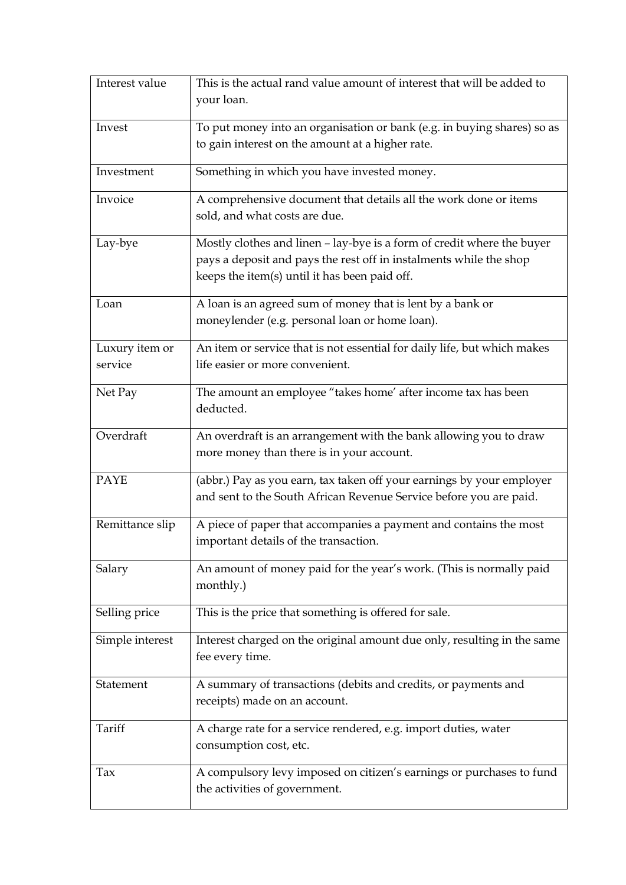| Interest value  | This is the actual rand value amount of interest that will be added to                                                                                                                        |
|-----------------|-----------------------------------------------------------------------------------------------------------------------------------------------------------------------------------------------|
|                 | your loan.                                                                                                                                                                                    |
| Invest          | To put money into an organisation or bank (e.g. in buying shares) so as                                                                                                                       |
|                 | to gain interest on the amount at a higher rate.                                                                                                                                              |
| Investment      | Something in which you have invested money.                                                                                                                                                   |
| Invoice         | A comprehensive document that details all the work done or items<br>sold, and what costs are due.                                                                                             |
| Lay-bye         | Mostly clothes and linen - lay-bye is a form of credit where the buyer<br>pays a deposit and pays the rest off in instalments while the shop<br>keeps the item(s) until it has been paid off. |
| Loan            | A loan is an agreed sum of money that is lent by a bank or<br>moneylender (e.g. personal loan or home loan).                                                                                  |
| Luxury item or  | An item or service that is not essential for daily life, but which makes                                                                                                                      |
| service         | life easier or more convenient.                                                                                                                                                               |
| Net Pay         | The amount an employee "takes home' after income tax has been<br>deducted.                                                                                                                    |
| Overdraft       | An overdraft is an arrangement with the bank allowing you to draw                                                                                                                             |
|                 | more money than there is in your account.                                                                                                                                                     |
| <b>PAYE</b>     | (abbr.) Pay as you earn, tax taken off your earnings by your employer<br>and sent to the South African Revenue Service before you are paid.                                                   |
| Remittance slip | A piece of paper that accompanies a payment and contains the most<br>important details of the transaction.                                                                                    |
| Salary          | An amount of money paid for the year's work. (This is normally paid<br>monthly.)                                                                                                              |
| Selling price   | This is the price that something is offered for sale.                                                                                                                                         |
| Simple interest | Interest charged on the original amount due only, resulting in the same<br>fee every time.                                                                                                    |
| Statement       | A summary of transactions (debits and credits, or payments and<br>receipts) made on an account.                                                                                               |
| Tariff          | A charge rate for a service rendered, e.g. import duties, water<br>consumption cost, etc.                                                                                                     |
| Tax             | A compulsory levy imposed on citizen's earnings or purchases to fund<br>the activities of government.                                                                                         |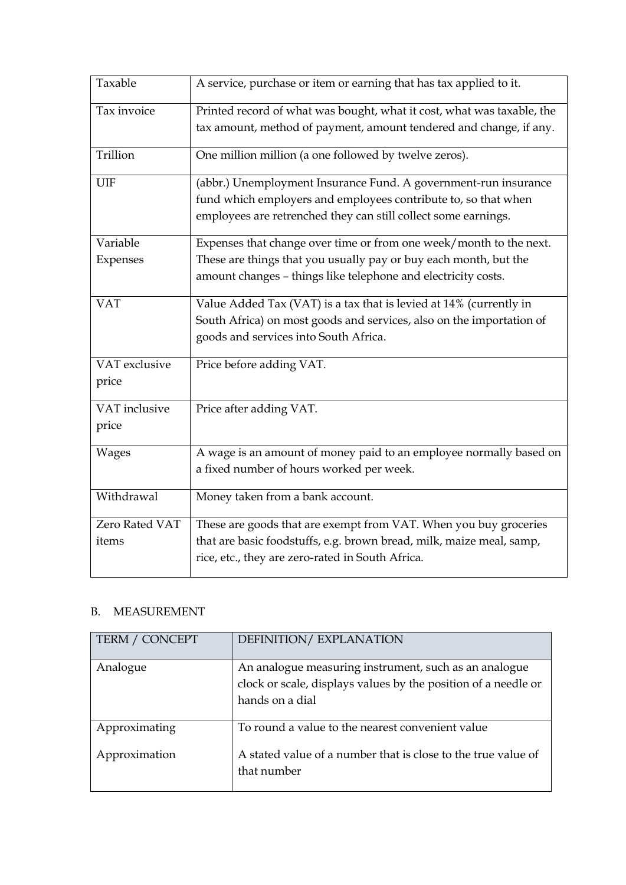| Taxable        | A service, purchase or item or earning that has tax applied to it.     |
|----------------|------------------------------------------------------------------------|
| Tax invoice    | Printed record of what was bought, what it cost, what was taxable, the |
|                | tax amount, method of payment, amount tendered and change, if any.     |
| Trillion       | One million million (a one followed by twelve zeros).                  |
| UIF            | (abbr.) Unemployment Insurance Fund. A government-run insurance        |
|                | fund which employers and employees contribute to, so that when         |
|                | employees are retrenched they can still collect some earnings.         |
| Variable       | Expenses that change over time or from one week/month to the next.     |
| Expenses       | These are things that you usually pay or buy each month, but the       |
|                | amount changes - things like telephone and electricity costs.          |
| <b>VAT</b>     | Value Added Tax (VAT) is a tax that is levied at 14% (currently in     |
|                | South Africa) on most goods and services, also on the importation of   |
|                | goods and services into South Africa.                                  |
| VAT exclusive  | Price before adding VAT.                                               |
| price          |                                                                        |
| VAT inclusive  | Price after adding VAT.                                                |
| price          |                                                                        |
| <b>Wages</b>   | A wage is an amount of money paid to an employee normally based on     |
|                | a fixed number of hours worked per week.                               |
| Withdrawal     | Money taken from a bank account.                                       |
| Zero Rated VAT | These are goods that are exempt from VAT. When you buy groceries       |
| items          | that are basic foodstuffs, e.g. brown bread, milk, maize meal, samp,   |
|                | rice, etc., they are zero-rated in South Africa.                       |

## B. MEASUREMENT

| <b>TERM / CONCEPT</b>          | DEFINITION/EXPLANATION                                                                                                                     |
|--------------------------------|--------------------------------------------------------------------------------------------------------------------------------------------|
| Analogue                       | An analogue measuring instrument, such as an analogue<br>clock or scale, displays values by the position of a needle or<br>hands on a dial |
| Approximating<br>Approximation | To round a value to the nearest convenient value<br>A stated value of a number that is close to the true value of<br>that number           |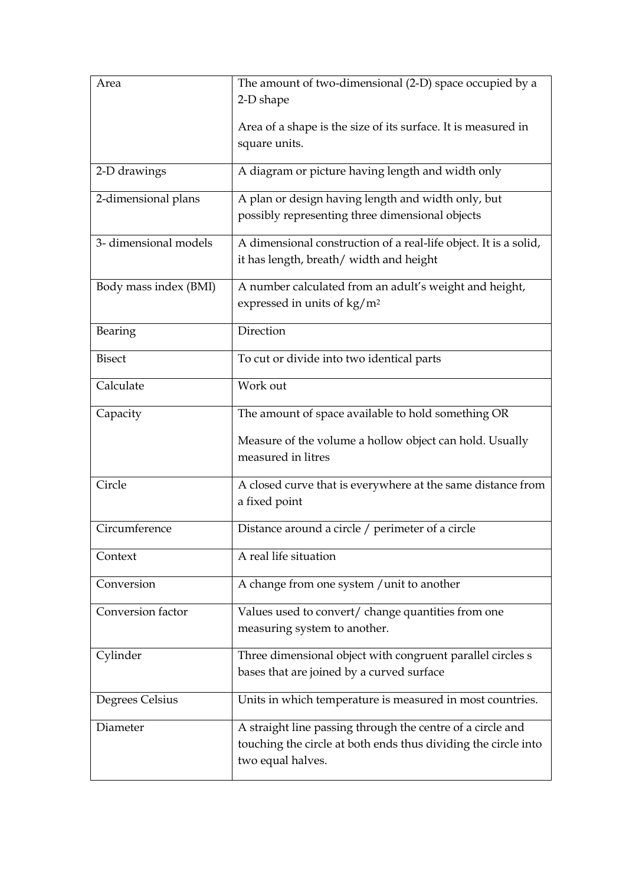| Area                  | The amount of two-dimensional (2-D) space occupied by a                      |
|-----------------------|------------------------------------------------------------------------------|
|                       | 2-D shape                                                                    |
|                       |                                                                              |
|                       | Area of a shape is the size of its surface. It is measured in                |
|                       | square units.                                                                |
| 2-D drawings          | A diagram or picture having length and width only                            |
| 2-dimensional plans   | A plan or design having length and width only, but                           |
|                       | possibly representing three dimensional objects                              |
| 3-dimensional models  | A dimensional construction of a real-life object. It is a solid,             |
|                       | it has length, breath/ width and height                                      |
| Body mass index (BMI) | A number calculated from an adult's weight and height,                       |
|                       | expressed in units of $\text{kg}/\text{m}^2$                                 |
| Bearing               | Direction                                                                    |
| <b>Bisect</b>         | To cut or divide into two identical parts                                    |
| Calculate             | Work out                                                                     |
| Capacity              | The amount of space available to hold something OR                           |
|                       | Measure of the volume a hollow object can hold. Usually                      |
|                       | measured in litres                                                           |
| Circle                |                                                                              |
|                       | A closed curve that is everywhere at the same distance from<br>a fixed point |
|                       |                                                                              |
| Circumference         | Distance around a circle / perimeter of a circle                             |
| Context               | A real life situation                                                        |
| Conversion            | A change from one system / unit to another                                   |
| Conversion factor     | Values used to convert/ change quantities from one                           |
|                       | measuring system to another.                                                 |
| Cylinder              | Three dimensional object with congruent parallel circles s                   |
|                       | bases that are joined by a curved surface                                    |
| Degrees Celsius       | Units in which temperature is measured in most countries.                    |
| Diameter              | A straight line passing through the centre of a circle and                   |
|                       | touching the circle at both ends thus dividing the circle into               |
|                       | two equal halves.                                                            |
|                       |                                                                              |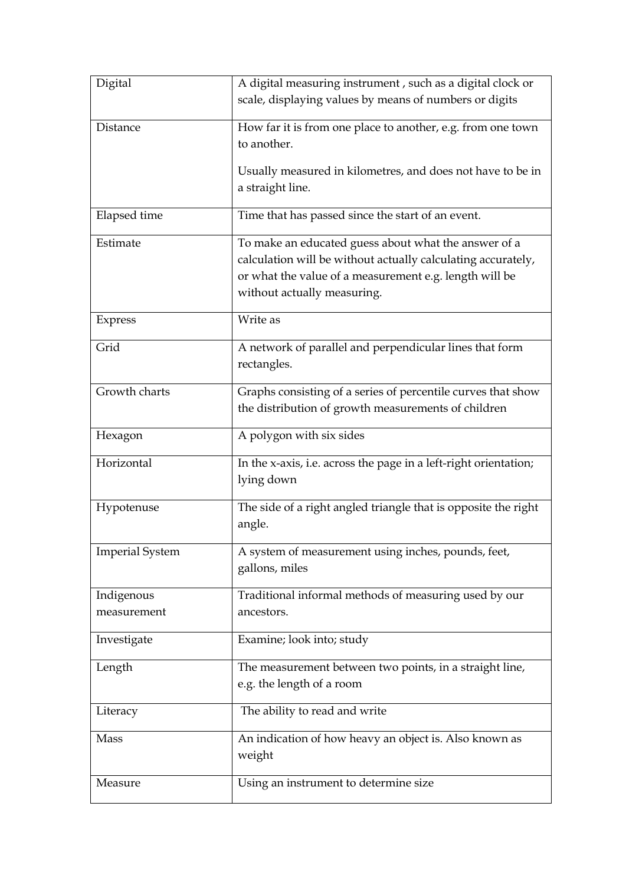| Digital                | A digital measuring instrument, such as a digital clock or       |
|------------------------|------------------------------------------------------------------|
|                        | scale, displaying values by means of numbers or digits           |
| Distance               | How far it is from one place to another, e.g. from one town      |
|                        | to another.                                                      |
|                        | Usually measured in kilometres, and does not have to be in       |
|                        | a straight line.                                                 |
|                        |                                                                  |
| Elapsed time           | Time that has passed since the start of an event.                |
| Estimate               | To make an educated guess about what the answer of a             |
|                        | calculation will be without actually calculating accurately,     |
|                        | or what the value of a measurement e.g. length will be           |
|                        | without actually measuring.                                      |
| Express                | Write as                                                         |
| Grid                   | A network of parallel and perpendicular lines that form          |
|                        | rectangles.                                                      |
| Growth charts          | Graphs consisting of a series of percentile curves that show     |
|                        | the distribution of growth measurements of children              |
|                        | A polygon with six sides                                         |
| Hexagon                |                                                                  |
| Horizontal             | In the x-axis, i.e. across the page in a left-right orientation; |
|                        | lying down                                                       |
| Hypotenuse             | The side of a right angled triangle that is opposite the right   |
|                        | angle.                                                           |
| <b>Imperial System</b> | A system of measurement using inches, pounds, feet,              |
|                        | gallons, miles                                                   |
| Indigenous             | Traditional informal methods of measuring used by our            |
| measurement            | ancestors.                                                       |
|                        |                                                                  |
| Investigate            | Examine; look into; study                                        |
| Length                 | The measurement between two points, in a straight line,          |
|                        | e.g. the length of a room                                        |
| Literacy               | The ability to read and write                                    |
| Mass                   | An indication of how heavy an object is. Also known as           |
|                        | weight                                                           |
| Measure                | Using an instrument to determine size                            |
|                        |                                                                  |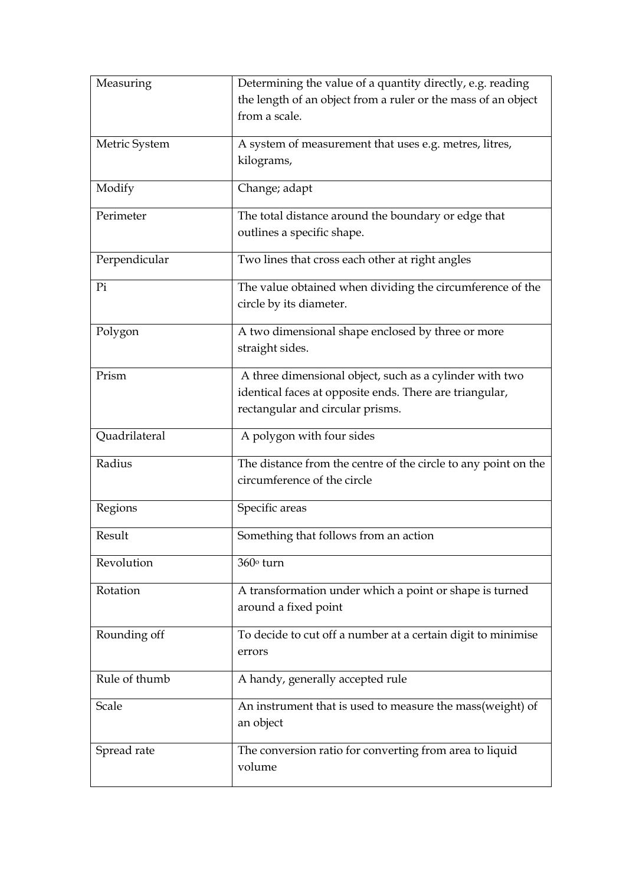| Measuring     | Determining the value of a quantity directly, e.g. reading     |
|---------------|----------------------------------------------------------------|
|               | the length of an object from a ruler or the mass of an object  |
|               | from a scale.                                                  |
| Metric System | A system of measurement that uses e.g. metres, litres,         |
|               | kilograms,                                                     |
|               |                                                                |
| Modify        | Change; adapt                                                  |
| Perimeter     | The total distance around the boundary or edge that            |
|               | outlines a specific shape.                                     |
| Perpendicular | Two lines that cross each other at right angles                |
| Pi            | The value obtained when dividing the circumference of the      |
|               | circle by its diameter.                                        |
| Polygon       | A two dimensional shape enclosed by three or more              |
|               | straight sides.                                                |
|               |                                                                |
| Prism         | A three dimensional object, such as a cylinder with two        |
|               | identical faces at opposite ends. There are triangular,        |
|               | rectangular and circular prisms.                               |
| Quadrilateral | A polygon with four sides                                      |
| Radius        | The distance from the centre of the circle to any point on the |
|               | circumference of the circle                                    |
| Regions       | Specific areas                                                 |
| Result        | Something that follows from an action                          |
| Revolution    | 360° turn                                                      |
| Rotation      | A transformation under which a point or shape is turned        |
|               | around a fixed point                                           |
| Rounding off  | To decide to cut off a number at a certain digit to minimise   |
|               | errors                                                         |
|               |                                                                |
| Rule of thumb | A handy, generally accepted rule                               |
| Scale         | An instrument that is used to measure the mass(weight) of      |
|               | an object                                                      |
| Spread rate   | The conversion ratio for converting from area to liquid        |
|               | volume                                                         |
|               |                                                                |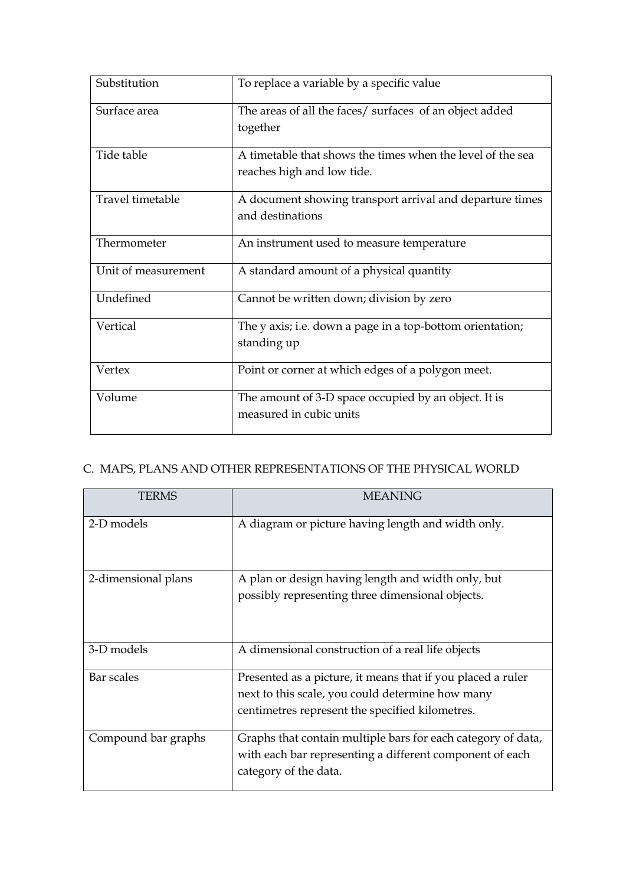| Substitution        | To replace a variable by a specific value                                                |
|---------------------|------------------------------------------------------------------------------------------|
| Surface area        | The areas of all the faces/ surfaces of an object added<br>together                      |
| Tide table          | A timetable that shows the times when the level of the sea<br>reaches high and low tide. |
| Travel timetable    | A document showing transport arrival and departure times<br>and destinations             |
| Thermometer         | An instrument used to measure temperature                                                |
| Unit of measurement | A standard amount of a physical quantity                                                 |
| Undefined           | Cannot be written down; division by zero                                                 |
| Vertical            | The y axis; i.e. down a page in a top-bottom orientation;<br>standing up                 |
| Vertex              | Point or corner at which edges of a polygon meet.                                        |
| Volume              | The amount of 3-D space occupied by an object. It is<br>measured in cubic units          |

# C. MAPS, PLANS AND OTHER REPRESENTATIONS OF THE PHYSICAL WORLD

| <b>TERMS</b>        | <b>MEANING</b>                                               |
|---------------------|--------------------------------------------------------------|
| 2-D models          | A diagram or picture having length and width only.           |
| 2-dimensional plans | A plan or design having length and width only, but           |
|                     | possibly representing three dimensional objects.             |
| 3-D models          | A dimensional construction of a real life objects            |
| Bar scales          | Presented as a picture, it means that if you placed a ruler  |
|                     | next to this scale, you could determine how many             |
|                     | centimetres represent the specified kilometres.              |
| Compound bar graphs | Graphs that contain multiple bars for each category of data, |
|                     | with each bar representing a different component of each     |
|                     | category of the data.                                        |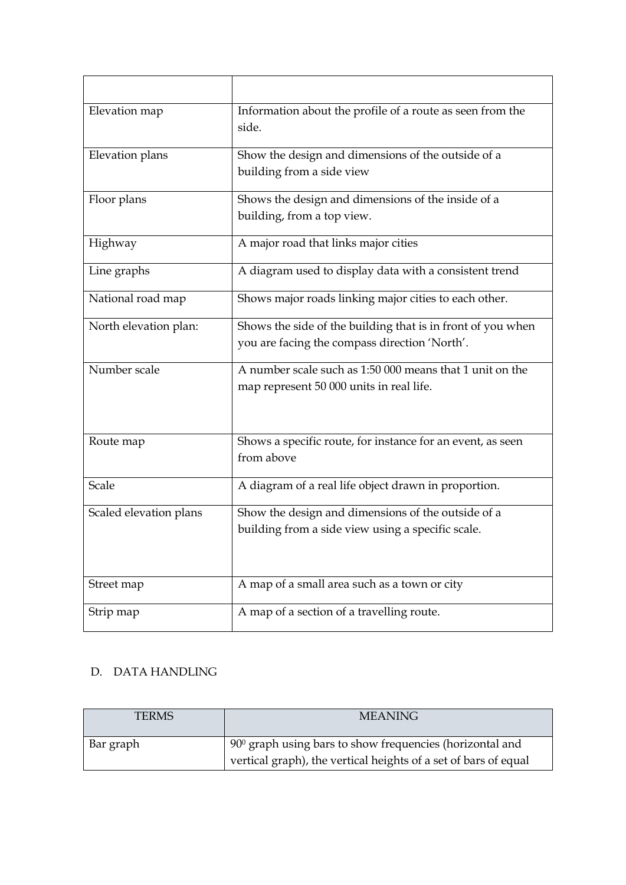| Elevation map          | Information about the profile of a route as seen from the<br>side.                                           |
|------------------------|--------------------------------------------------------------------------------------------------------------|
| Elevation plans        | Show the design and dimensions of the outside of a<br>building from a side view                              |
| Floor plans            | Shows the design and dimensions of the inside of a<br>building, from a top view.                             |
| Highway                | A major road that links major cities                                                                         |
| Line graphs            | A diagram used to display data with a consistent trend                                                       |
| National road map      | Shows major roads linking major cities to each other.                                                        |
| North elevation plan:  | Shows the side of the building that is in front of you when<br>you are facing the compass direction 'North'. |
| Number scale           | A number scale such as 1:50 000 means that 1 unit on the<br>map represent 50 000 units in real life.         |
| Route map              | Shows a specific route, for instance for an event, as seen<br>from above                                     |
| Scale                  | A diagram of a real life object drawn in proportion.                                                         |
| Scaled elevation plans | Show the design and dimensions of the outside of a<br>building from a side view using a specific scale.      |
| Street map             | A map of a small area such as a town or city                                                                 |
| Strip map              | A map of a section of a travelling route.                                                                    |

### D. DATA HANDLING

| <b>TERMS</b> | <b>MEANING</b>                                                  |
|--------------|-----------------------------------------------------------------|
| Bar graph    | $900$ graph using bars to show frequencies (horizontal and      |
|              | vertical graph), the vertical heights of a set of bars of equal |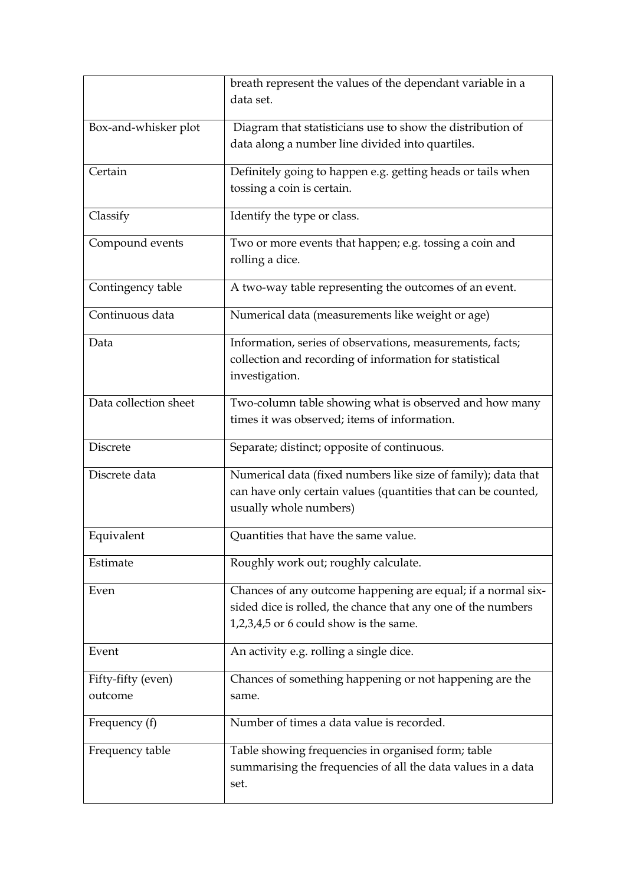|                               | breath represent the values of the dependant variable in a<br>data set.                                                                                                |
|-------------------------------|------------------------------------------------------------------------------------------------------------------------------------------------------------------------|
| Box-and-whisker plot          | Diagram that statisticians use to show the distribution of<br>data along a number line divided into quartiles.                                                         |
| Certain                       | Definitely going to happen e.g. getting heads or tails when<br>tossing a coin is certain.                                                                              |
| Classify                      | Identify the type or class.                                                                                                                                            |
| Compound events               | Two or more events that happen; e.g. tossing a coin and<br>rolling a dice.                                                                                             |
| Contingency table             | A two-way table representing the outcomes of an event.                                                                                                                 |
| Continuous data               | Numerical data (measurements like weight or age)                                                                                                                       |
| Data                          | Information, series of observations, measurements, facts;<br>collection and recording of information for statistical<br>investigation.                                 |
| Data collection sheet         | Two-column table showing what is observed and how many<br>times it was observed; items of information.                                                                 |
| Discrete                      | Separate; distinct; opposite of continuous.                                                                                                                            |
| Discrete data                 | Numerical data (fixed numbers like size of family); data that<br>can have only certain values (quantities that can be counted,<br>usually whole numbers)               |
| Equivalent                    | Quantities that have the same value.                                                                                                                                   |
| Estimate                      | Roughly work out; roughly calculate.                                                                                                                                   |
| Even                          | Chances of any outcome happening are equal; if a normal six-<br>sided dice is rolled, the chance that any one of the numbers<br>1,2,3,4,5 or 6 could show is the same. |
| Event                         | An activity e.g. rolling a single dice.                                                                                                                                |
| Fifty-fifty (even)<br>outcome | Chances of something happening or not happening are the<br>same.                                                                                                       |
| Frequency (f)                 | Number of times a data value is recorded.                                                                                                                              |
| Frequency table               | Table showing frequencies in organised form; table<br>summarising the frequencies of all the data values in a data<br>set.                                             |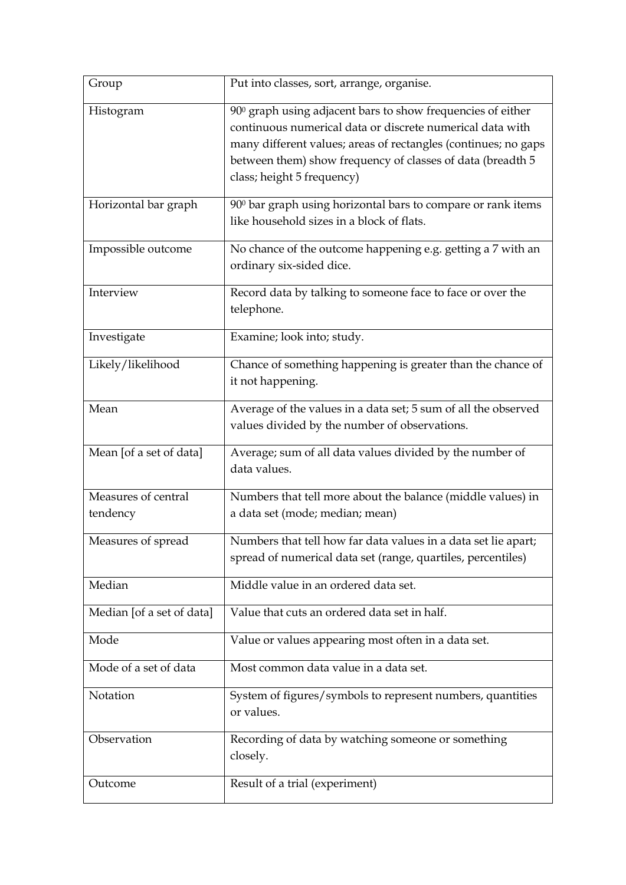| Group                           | Put into classes, sort, arrange, organise.                                                                                                                                                                                                                                             |
|---------------------------------|----------------------------------------------------------------------------------------------------------------------------------------------------------------------------------------------------------------------------------------------------------------------------------------|
| Histogram                       | 900 graph using adjacent bars to show frequencies of either<br>continuous numerical data or discrete numerical data with<br>many different values; areas of rectangles (continues; no gaps<br>between them) show frequency of classes of data (breadth 5<br>class; height 5 frequency) |
| Horizontal bar graph            | 900 bar graph using horizontal bars to compare or rank items<br>like household sizes in a block of flats.                                                                                                                                                                              |
| Impossible outcome              | No chance of the outcome happening e.g. getting a 7 with an<br>ordinary six-sided dice.                                                                                                                                                                                                |
| Interview                       | Record data by talking to someone face to face or over the<br>telephone.                                                                                                                                                                                                               |
| Investigate                     | Examine; look into; study.                                                                                                                                                                                                                                                             |
| Likely/likelihood               | Chance of something happening is greater than the chance of<br>it not happening.                                                                                                                                                                                                       |
| Mean                            | Average of the values in a data set; 5 sum of all the observed<br>values divided by the number of observations.                                                                                                                                                                        |
| Mean [of a set of data]         | Average; sum of all data values divided by the number of<br>data values.                                                                                                                                                                                                               |
| Measures of central<br>tendency | Numbers that tell more about the balance (middle values) in<br>a data set (mode; median; mean)                                                                                                                                                                                         |
| Measures of spread              | Numbers that tell how far data values in a data set lie apart;<br>spread of numerical data set (range, quartiles, percentiles)                                                                                                                                                         |
| Median                          | Middle value in an ordered data set.                                                                                                                                                                                                                                                   |
| Median [of a set of data]       | Value that cuts an ordered data set in half.                                                                                                                                                                                                                                           |
| Mode                            | Value or values appearing most often in a data set.                                                                                                                                                                                                                                    |
| Mode of a set of data           | Most common data value in a data set.                                                                                                                                                                                                                                                  |
| Notation                        | System of figures/symbols to represent numbers, quantities<br>or values.                                                                                                                                                                                                               |
| Observation                     | Recording of data by watching someone or something<br>closely.                                                                                                                                                                                                                         |
| Outcome                         | Result of a trial (experiment)                                                                                                                                                                                                                                                         |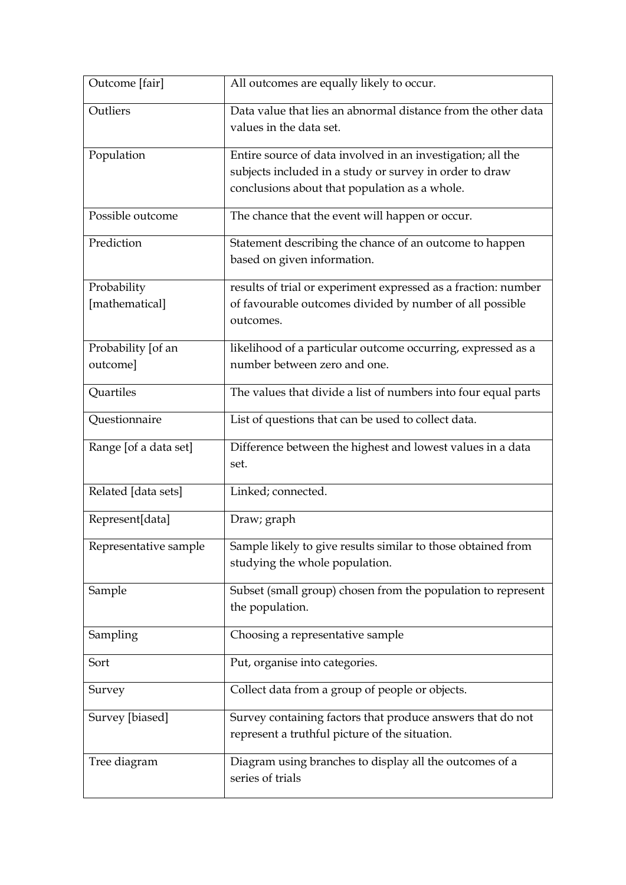| Outcome [fair]                 | All outcomes are equally likely to occur.                                                                                                                               |
|--------------------------------|-------------------------------------------------------------------------------------------------------------------------------------------------------------------------|
| Outliers                       | Data value that lies an abnormal distance from the other data<br>values in the data set.                                                                                |
| Population                     | Entire source of data involved in an investigation; all the<br>subjects included in a study or survey in order to draw<br>conclusions about that population as a whole. |
| Possible outcome               | The chance that the event will happen or occur.                                                                                                                         |
| Prediction                     | Statement describing the chance of an outcome to happen<br>based on given information.                                                                                  |
| Probability<br>[mathematical]  | results of trial or experiment expressed as a fraction: number<br>of favourable outcomes divided by number of all possible<br>outcomes.                                 |
| Probability [of an<br>outcome] | likelihood of a particular outcome occurring, expressed as a<br>number between zero and one.                                                                            |
| Quartiles                      | The values that divide a list of numbers into four equal parts                                                                                                          |
| Questionnaire                  | List of questions that can be used to collect data.                                                                                                                     |
| Range [of a data set]          | Difference between the highest and lowest values in a data<br>set.                                                                                                      |
| Related [data sets]            | Linked; connected.                                                                                                                                                      |
| Represent[data]                | Draw; graph                                                                                                                                                             |
| Representative sample          | Sample likely to give results similar to those obtained from<br>studying the whole population.                                                                          |
| Sample                         | Subset (small group) chosen from the population to represent<br>the population.                                                                                         |
| Sampling                       | Choosing a representative sample                                                                                                                                        |
| Sort                           | Put, organise into categories.                                                                                                                                          |
| Survey                         | Collect data from a group of people or objects.                                                                                                                         |
| Survey [biased]                | Survey containing factors that produce answers that do not<br>represent a truthful picture of the situation.                                                            |
| Tree diagram                   | Diagram using branches to display all the outcomes of a<br>series of trials                                                                                             |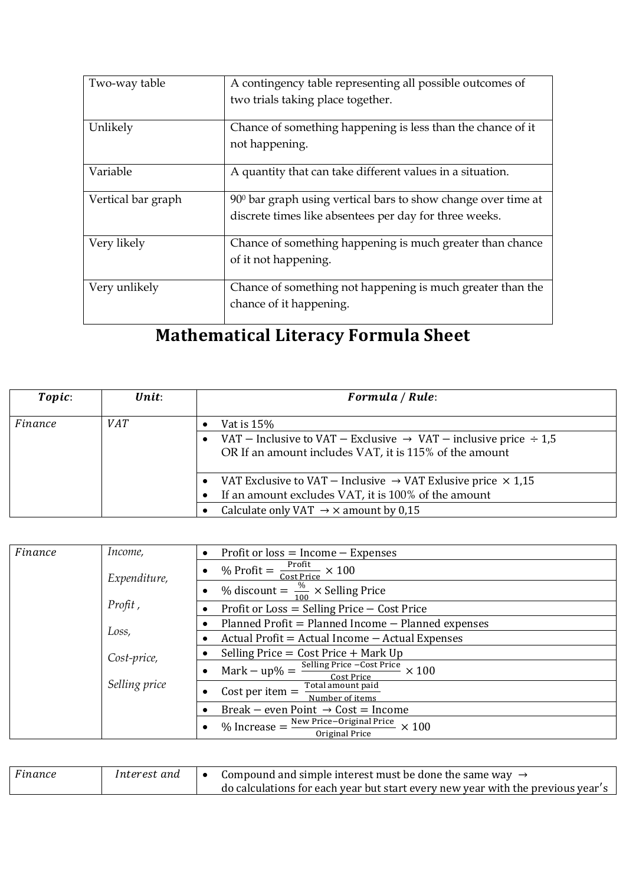| Two-way table      | A contingency table representing all possible outcomes of     |
|--------------------|---------------------------------------------------------------|
|                    | two trials taking place together.                             |
| Unlikely           | Chance of something happening is less than the chance of it   |
|                    | not happening.                                                |
| Variable           | A quantity that can take different values in a situation.     |
| Vertical bar graph | 900 bar graph using vertical bars to show change over time at |
|                    | discrete times like absentees per day for three weeks.        |
| Very likely        | Chance of something happening is much greater than chance     |
|                    | of it not happening.                                          |
| Very unlikely      | Chance of something not happening is much greater than the    |
|                    | chance of it happening.                                       |

# Mathematical Literacy Formula Sheet

| Topic:  | Unit:      | Formula / Rule:                                                                                                                             |
|---------|------------|---------------------------------------------------------------------------------------------------------------------------------------------|
| Finance | <i>VAT</i> | Vat is $15\%$                                                                                                                               |
|         |            | VAT – Inclusive to VAT – Exclusive $\rightarrow$ VAT – inclusive price $\div$ 1,5<br>OR If an amount includes VAT, it is 115% of the amount |
|         |            | VAT Exclusive to VAT - Inclusive $\rightarrow$ VAT Exlusive price $\times$ 1,15<br>If an amount excludes VAT, it is 100% of the amount      |
|         |            | Calculate only VAT $\rightarrow \times$ amount by 0,15                                                                                      |

| Finance | Income,       | Profit or $loss = Income - Expenses$                                                                       |
|---------|---------------|------------------------------------------------------------------------------------------------------------|
|         | Expenditure,  | % Profit = $\frac{\text{Profit}}{\text{Cost Price}} \times 100$                                            |
|         |               | % discount = $\frac{\%}{\sqrt{2}} \times$ Selling Price                                                    |
|         | Profit,       | Profit or $Loss =$ Selling Price $-$ Cost Price                                                            |
|         |               | Planned Profit = Planned Income - Planned expenses                                                         |
|         | Loss,         | Actual Profit = Actual Income $-$ Actual Expenses                                                          |
|         | Cost-price,   | Selling Price = $Cost$ Price + Mark Up                                                                     |
|         |               | $\frac{\text{Res1}}{\text{Selling Price} - \text{Cost Price}} \times 100$<br>$Mark - up\% =$<br>Cost Price |
|         | Selling price | Total amount paid<br>Cost per item $=$<br>Number of items                                                  |
|         |               | Break – even Point $\rightarrow$ Cost = Income                                                             |
|         |               | New Price-Original Price<br>$%$ Increase $=$<br>$\times$ 100<br>Original Price                             |

| Finance | Interest and | Compound and simple interest must be done the same way $\rightarrow$            |
|---------|--------------|---------------------------------------------------------------------------------|
|         |              | do calculations for each year but start every new year with the previous year's |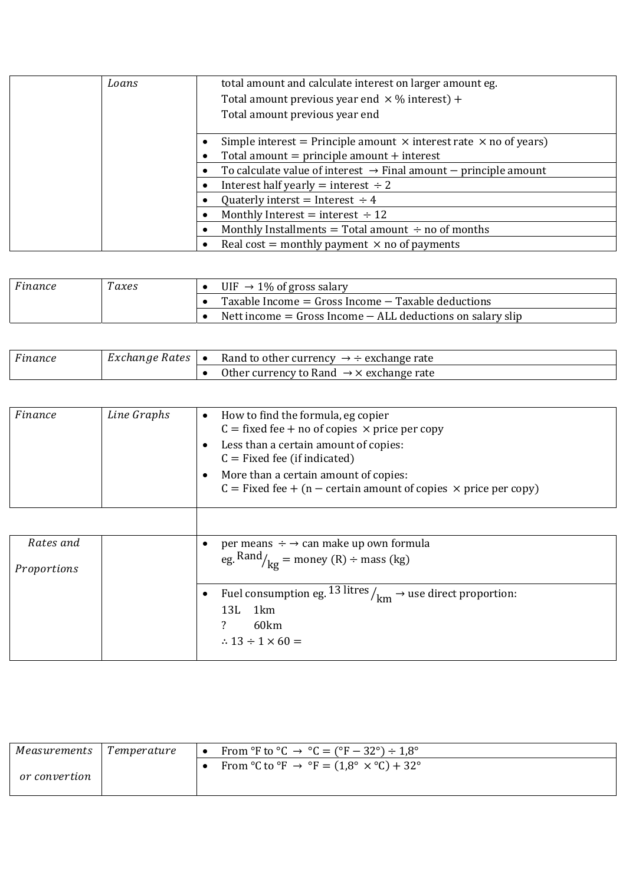| Loans | total amount and calculate interest on larger amount eg.<br>Total amount previous year end $\times$ % interest) +<br>Total amount previous year end |                                                                                                                                   |
|-------|-----------------------------------------------------------------------------------------------------------------------------------------------------|-----------------------------------------------------------------------------------------------------------------------------------|
|       |                                                                                                                                                     | Simple interest = Principle amount $\times$ interest rate $\times$ no of years)<br>Total amount $=$ principle amount $+$ interest |
|       |                                                                                                                                                     | To calculate value of interest $\rightarrow$ Final amount $-$ principle amount                                                    |
|       |                                                                                                                                                     | Interest half yearly = interest $\div 2$                                                                                          |
|       |                                                                                                                                                     | Quaterly interst = Interest $\div 4$                                                                                              |
|       |                                                                                                                                                     | Monthly Interest = interest $\div$ 12                                                                                             |
|       |                                                                                                                                                     | Monthly Installments = Total amount $\div$ no of months                                                                           |
|       |                                                                                                                                                     | Real cost = monthly payment $\times$ no of payments                                                                               |

| Finance | $\tau_{axes}$ | UIF $\rightarrow$ 1% of gross salary                           |
|---------|---------------|----------------------------------------------------------------|
|         |               | Taxable Income $=$ Gross Income $-$ Taxable deductions         |
|         |               | Nett income $=$ Gross Income $-$ ALL deductions on salary slip |

| F inance | Exchange Rates $\vert \bullet \vert$ | Rand to other currency $\rightarrow \div$ exchange rate   |
|----------|--------------------------------------|-----------------------------------------------------------|
|          |                                      | Other currency to Rand $\rightarrow \times$ exchange rate |

| Finance | Line Graphs | How to find the formula, eg copier<br>$C = fixed$ fee + no of copies $\times$ price per copy                      |
|---------|-------------|-------------------------------------------------------------------------------------------------------------------|
|         |             | Less than a certain amount of copies:<br>$C =$ Fixed fee (if indicated)                                           |
|         |             | More than a certain amount of copies:<br>$C =$ Fixed fee + (n – certain amount of copies $\times$ price per copy) |

| Rates and   | per means $\div \rightarrow$ can make up own formula                               |
|-------------|------------------------------------------------------------------------------------|
| Proportions | eg. $\text{Rand}_{\text{kg}} = \text{money (R)} \div \text{mass (kg)}$             |
|             | • Fuel consumption eg. 13 litres $\frac{1}{km} \rightarrow$ use direct proportion: |
|             | 13L 1km                                                                            |
|             | 60km                                                                               |
|             | $\therefore$ 13 ÷ 1 $\times$ 60 =                                                  |
|             |                                                                                    |

| Measurements  | l Temperature | From ${}^{\circ}$ F to ${}^{\circ}$ C $\rightarrow {}^{\circ}$ C = ( ${}^{\circ}$ F – 32 ${}^{\circ}$ ) ÷ 1,8 ${}^{\circ}$ |
|---------------|---------------|----------------------------------------------------------------------------------------------------------------------------|
| or convertion |               | From °C to °F $\rightarrow$ °F = (1,8° $\times$ °C) + 32°                                                                  |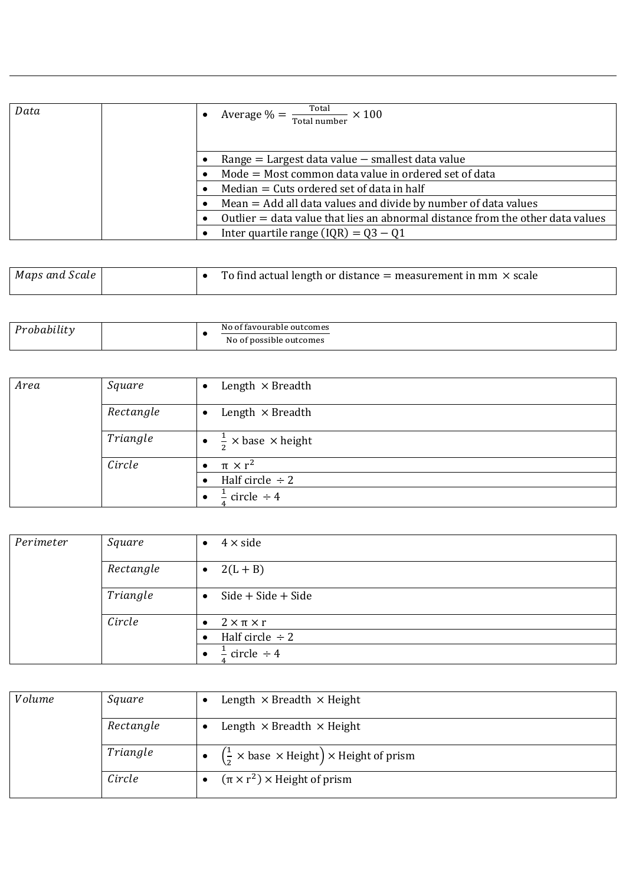| Data | Average $\% = \frac{\text{Total}}{\text{Total number}}$<br>$\times$ 100        |
|------|--------------------------------------------------------------------------------|
|      |                                                                                |
|      | Range $=$ Largest data value $-$ smallest data value                           |
|      | Mode = Most common data value in ordered set of data                           |
|      | $Median = Cuts ordered set of data in half$                                    |
|      | $Mean = Add$ all data values and divide by number of data values               |
|      | Outlier = data value that lies an abnormal distance from the other data values |
|      | Inter quartile range $(IQR) = Q3 - Q1$                                         |

| Maps and Scale | To find actual length or distance $=$ measurement in mm $\times$ scale |
|----------------|------------------------------------------------------------------------|
|----------------|------------------------------------------------------------------------|

| <br>. | : favourable outcomes.<br>Νc<br>Ωt<br>. .<br>o of possible outcomes<br>Νo |  |
|-------|---------------------------------------------------------------------------|--|
|-------|---------------------------------------------------------------------------|--|

| Area | Square    | Length $\times$ Breadth<br>$\bullet$        |
|------|-----------|---------------------------------------------|
|      | Rectangle | Length $\times$ Breadth<br>$\bullet$        |
|      | Triangle  | $\frac{1}{2}$ × base × height<br>$\bullet$  |
|      | Circle    | $\pi \times r^2$                            |
|      |           | Half circle $\div 2$                        |
|      |           | circle $\div$ 4<br>$\overline{\phantom{0}}$ |

| Perimeter | Square    | $4 \times side$                      |
|-----------|-----------|--------------------------------------|
|           | Rectangle | $2(L + B)$<br>$\bullet$              |
|           | Triangle  | $Side + Side + Side$                 |
|           | Circle    | $2 \times \pi \times r$<br>$\bullet$ |
|           |           | Half circle $\div 2$                 |
|           |           | circle $\div$ 4                      |

| Volume | Square    | Length $\times$ Breadth $\times$ Height                                                          |
|--------|-----------|--------------------------------------------------------------------------------------------------|
|        | Rectangle | Length $\times$ Breadth $\times$ Height                                                          |
|        | Triangle  | $\left(\frac{1}{2} \times \text{base} \times \text{Height}\right) \times \text{Height of prism}$ |
|        | Circle    | $(\pi \times r^2) \times$ Height of prism                                                        |